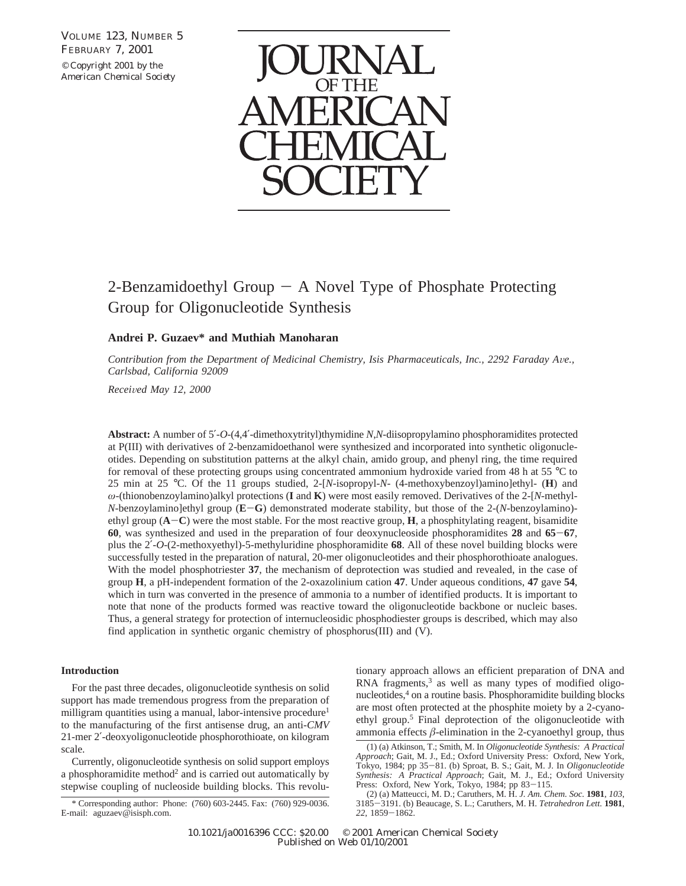VOLUME 123, NUMBER 5 FEBRUARY 7, 2001 *© Copyright 2001 by the American Chemical Society*



# 2-Benzamidoethyl Group  $-$  A Novel Type of Phosphate Protecting Group for Oligonucleotide Synthesis

## **Andrei P. Guzaev\* and Muthiah Manoharan**

*Contribution from the Department of Medicinal Chemistry, Isis Pharmaceuticals, Inc., 2292 Faraday Ave., Carlsbad, California 92009*

*Recei*V*ed May 12, 2000*

**Abstract:** A number of 5′-*O*-(4,4′-dimethoxytrityl)thymidine *N*,*N*-diisopropylamino phosphoramidites protected at P(III) with derivatives of 2-benzamidoethanol were synthesized and incorporated into synthetic oligonucleotides. Depending on substitution patterns at the alkyl chain, amido group, and phenyl ring, the time required for removal of these protecting groups using concentrated ammonium hydroxide varied from 48 h at 55 °C to 25 min at 25 °C. Of the 11 groups studied, 2-[*N*-isopropyl-*N*- (4-methoxybenzoyl)amino]ethyl- (**H**) and *ω*-(thionobenzoylamino)alkyl protections (**I** and **K**) were most easily removed. Derivatives of the 2-[*N*-methyl-*<sup>N</sup>*-benzoylamino]ethyl group (**E**-**G**) demonstrated moderate stability, but those of the 2-(*N*-benzoylamino) ethyl group (**A**-**C**) were the most stable. For the most reactive group, **<sup>H</sup>**, a phosphitylating reagent, bisamidite **<sup>60</sup>**, was synthesized and used in the preparation of four deoxynucleoside phosphoramidites **<sup>28</sup>** and **<sup>65</sup>**-**67**, plus the 2′-*O*-(2-methoxyethyl)-5-methyluridine phosphoramidite **68**. All of these novel building blocks were successfully tested in the preparation of natural, 20-mer oligonucleotides and their phosphorothioate analogues. With the model phosphotriester **37**, the mechanism of deprotection was studied and revealed, in the case of group **H**, a pH-independent formation of the 2-oxazolinium cation **47**. Under aqueous conditions, **47** gave **54**, which in turn was converted in the presence of ammonia to a number of identified products. It is important to note that none of the products formed was reactive toward the oligonucleotide backbone or nucleic bases. Thus, a general strategy for protection of internucleosidic phosphodiester groups is described, which may also find application in synthetic organic chemistry of phosphorus(III) and (V).

### **Introduction**

For the past three decades, oligonucleotide synthesis on solid support has made tremendous progress from the preparation of milligram quantities using a manual, labor-intensive procedure<sup>1</sup> to the manufacturing of the first antisense drug, an anti-*CMV* 21-mer 2′-deoxyoligonucleotide phosphorothioate, on kilogram scale.

Currently, oligonucleotide synthesis on solid support employs a phosphoramidite method<sup>2</sup> and is carried out automatically by stepwise coupling of nucleoside building blocks. This revolutionary approach allows an efficient preparation of DNA and RNA fragments,<sup>3</sup> as well as many types of modified oligonucleotides,<sup>4</sup> on a routine basis. Phosphoramidite building blocks are most often protected at the phosphite moiety by a 2-cyanoethyl group.5 Final deprotection of the oligonucleotide with ammonia effects  $\beta$ -elimination in the 2-cyanoethyl group, thus

<sup>\*</sup> Corresponding author: Phone: (760) 603-2445. Fax: (760) 929-0036. E-mail: aguzaev@isisph.com.

<sup>(1) (</sup>a) Atkinson, T.; Smith, M. In *Oligonucleotide Synthesis: A Practical Approach*; Gait, M. J., Ed.; Oxford University Press: Oxford, New York, Tokyo, 1984; pp 35-81. (b) Sproat, B. S.; Gait, M. J. In *Oligonucleotide Synthesis: A Practical Approach*; Gait, M. J., Ed.; Oxford University Press: Oxford, New York, Tokyo, 1984; pp 83-115.

<sup>(2) (</sup>a) Matteucci, M. D.; Caruthers, M. H. *J. Am. Chem. Soc.* **1981**, *103*, <sup>3185</sup>-3191. (b) Beaucage, S. L.; Caruthers, M. H. *Tetrahedron Lett.* **<sup>1981</sup>**, *<sup>22</sup>*, 1859-1862.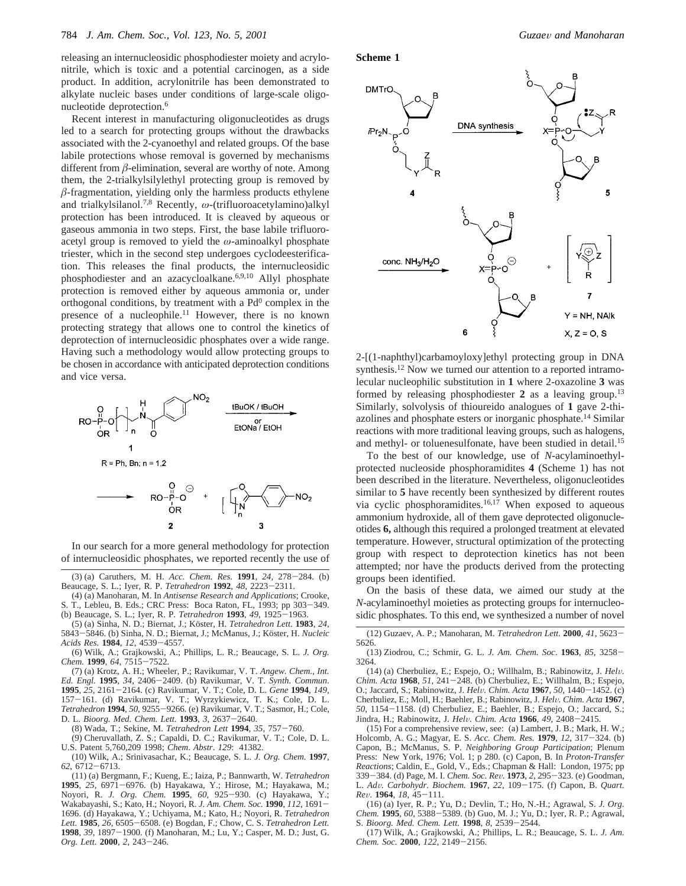releasing an internucleosidic phosphodiester moiety and acrylonitrile, which is toxic and a potential carcinogen, as a side product. In addition, acrylonitrile has been demonstrated to alkylate nucleic bases under conditions of large-scale oligonucleotide deprotection.6

Recent interest in manufacturing oligonucleotides as drugs led to a search for protecting groups without the drawbacks associated with the 2-cyanoethyl and related groups. Of the base labile protections whose removal is governed by mechanisms different from *â*-elimination, several are worthy of note. Among them, the 2-trialkylsilylethyl protecting group is removed by  $β$ -fragmentation, yielding only the harmless products ethylene and trialkylsilanol.7,8 Recently, *ω*-(trifluoroacetylamino)alkyl protection has been introduced. It is cleaved by aqueous or gaseous ammonia in two steps. First, the base labile trifluoroacetyl group is removed to yield the *ω*-aminoalkyl phosphate triester, which in the second step undergoes cyclodeesterification. This releases the final products, the internucleosidic phosphodiester and an azacycloalkane.6,9,10 Allyl phosphate protection is removed either by aqueous ammonia or, under orthogonal conditions, by treatment with a Pd<sup>0</sup> complex in the presence of a nucleophile.<sup>11</sup> However, there is no known protecting strategy that allows one to control the kinetics of deprotection of internucleosidic phosphates over a wide range. Having such a methodology would allow protecting groups to be chosen in accordance with anticipated deprotection conditions and vice versa.



In our search for a more general methodology for protection of internucleosidic phosphates, we reported recently the use of

(3) (a) Caruthers, M. H. *Acc. Chem. Res.* **<sup>1991</sup>**, *<sup>24</sup>*, 278-284. (b) Beaucage, S. L.; Iyer, R. P. *Tetrahedron* **<sup>1992</sup>**, *<sup>48</sup>*, 2223-2311.

(4) (a) Manoharan, M. In *Antisense Research and Applications*; Crooke, S. T., Lebleu, B. Eds.; CRC Press: Boca Raton, FL, 1993; pp 303-349. (b) Beaucage, S. L.; Iyer, R. P. *Tetrahedron* **<sup>1993</sup>**, *<sup>49</sup>*, 1925-1963.

(5) (a) Sinha, N. D.; Biernat, J.; Ko¨ster, H. *Tetrahedron Lett.* **1983**, *24*, 5843-5846. (b) Sinha, N. D.; Biernat, J.; McManus, J.; Köster, H. *Nucleic* 

*Acids Res.* **<sup>1984</sup>**, *<sup>12</sup>*, 4539-4557. (6) Wilk, A.; Grajkowski, A.; Phillips, L. R.; Beaucage, S. L. *J. Org. Chem.* **<sup>1999</sup>**, *<sup>64</sup>*, 7515-7522.

(7) (a) Krotz, A. H.; Wheeler, P.; Ravikumar, V. T. *Angew. Chem., Int. Ed. Engl.* **<sup>1995</sup>**, *<sup>34</sup>*, 2406-2409. (b) Ravikumar, V. T. *Synth. Commun*. **<sup>1995</sup>**, *<sup>25</sup>*, 2161-2164. (c) Ravikumar, V. T.; Cole, D. L. *Gene* **<sup>1994</sup>**, *<sup>149</sup>*, 157-161. (d) Ravikumar, V. T.; Wyrzykiewicz, T. K.; Cole, D. L.<br>Tetrahedron 1994 50 9255-9266 (e) Ravikumar V T Sasmor H : Cole *Tetrahedron* **<sup>1994</sup>**, *<sup>50</sup>*, 9255-9266. (e) Ravikumar, V. T.; Sasmor, H.; Cole, D. L. *Bioorg. Med. Chem. Lett.* **<sup>1993</sup>**, *<sup>3</sup>*, 2637-2640.

(8) Wada, T.; Sekine, M. *Tetrahedron Lett* **<sup>1994</sup>**, *<sup>35</sup>*, 757-760.

(9) Cheruvallath, Z. S.; Capaldi, D. C.; Ravikumar, V. T.; Cole, D. L. U.S. Patent 5,760,209 1998; *Chem*. *Abstr*. *129*: 41382.

(10) Wilk, A.; Srinivasachar, K.; Beaucage, S. L. *J. Org. Chem.* **1997**, *<sup>62</sup>*, 6712-6713.

(11) (a) Bergmann, F.; Kueng, E.; Iaiza, P.; Bannwarth, W. *Tetrahedron* **<sup>1995</sup>**, *<sup>25</sup>*, 6971-6976. (b) Hayakawa, Y.; Hirose, M.; Hayakawa, M.; Noyori, R. *J. Org. Chem.* **<sup>1995</sup>**, *<sup>60</sup>*, 925-930. (c) Hayakawa, Y.; Wakabayashi, S.; Kato, H.; Noyori, R. *J. Am. Chem. Soc.* **<sup>1990</sup>**, *<sup>112</sup>*, 1691- 1696. (d) Hayakawa, Y.; Uchiyama, M.; Kato, H.; Noyori, R. *Tetrahedron Lett.* **<sup>1985</sup>**, *<sup>26</sup>*, 6505-6508. (e) Bogdan, F.; Chow, C. S. *Tetrahedron Lett.* **<sup>1998</sup>**, *<sup>39</sup>*, 1897-1900. (f) Manoharan, M.; Lu, Y.; Casper, M. D.; Just, G. *Org. Lett.* **<sup>2000</sup>**, *<sup>2</sup>*, 243-246.





2-[(1-naphthyl)carbamoyloxy]ethyl protecting group in DNA synthesis.<sup>12</sup> Now we turned our attention to a reported intramolecular nucleophilic substitution in **1** where 2-oxazoline **3** was formed by releasing phosphodiester **2** as a leaving group.13 Similarly, solvolysis of thioureido analogues of **1** gave 2-thiazolines and phosphate esters or inorganic phosphate.14 Similar reactions with more traditional leaving groups, such as halogens, and methyl- or toluenesulfonate, have been studied in detail.<sup>15</sup>

To the best of our knowledge, use of *N*-acylaminoethylprotected nucleoside phosphoramidites **4** (Scheme 1) has not been described in the literature. Nevertheless, oligonucleotides similar to **5** have recently been synthesized by different routes via cyclic phosphoramidites.<sup>16,17</sup> When exposed to aqueous ammonium hydroxide, all of them gave deprotected oligonucleotides **6,** although this required a prolonged treatment at elevated temperature. However, structural optimization of the protecting group with respect to deprotection kinetics has not been attempted; nor have the products derived from the protecting groups been identified.

On the basis of these data, we aimed our study at the *N*-acylaminoethyl moieties as protecting groups for internucleosidic phosphates. To this end, we synthesized a number of novel

(12) Guzaev, A. P.; Manoharan, M. *Tetrahedron Lett.* **<sup>2000</sup>**, *<sup>41</sup>*, 5623- 5626.

(13) Ziodrou, C.; Schmir, G. L. *J. Am. Chem. Soc*. **<sup>1963</sup>**, *<sup>85</sup>*, 3258- 3264.

(14) (a) Cherbuliez, E.; Espejo, O.; Willhalm, B.; Rabinowitz, J. *Hel*V*. Chim. Acta* **<sup>1968</sup>**, *<sup>51</sup>*, 241-248. (b) Cherbuliez, E.; Willhalm, B.; Espejo, O.; Jaccard, S.; Rabinowitz, J. *Hel*V*. Chim. Acta* **<sup>1967</sup>**, *<sup>50</sup>*, 1440-1452. (c) Cherbuliez, E.; Moll, H.; Baehler, B.; Rabinowitz, J. *Hel*V*. Chim. Acta* **<sup>1967</sup>**, *<sup>50</sup>*, 1154-1158. (d) Cherbuliez, E.; Baehler, B.; Espejo, O.; Jaccard, S.; Jindra, H.; Rabinowitz, J. *Hel*V*. Chim. Acta* **<sup>1966</sup>**, *<sup>49</sup>*, 2408-2415.

(15) For a comprehensive review, see: (a) Lambert, J. B.; Mark, H. W.; Holcomb, A. G.; Magyar, E. S. *Acc. Chem. Res.* **<sup>1979</sup>**, *<sup>12</sup>*, 317-324. (b) Capon, B.; McManus, S. P. *Neighboring Group Participation*; Plenum Press: New York, 1976; Vol. 1; p 280. (c) Capon, B. In *Proton-Transfer Reactions*; Caldin, E., Gold, V., Eds.; Chapman & Hall: London, 1975; pp <sup>339</sup>-384. (d) Page, M. I. *Chem. Soc. Re*V*.* **<sup>1973</sup>**, *<sup>2</sup>*, 295-323. (e) Goodman, L. *Ad*V*. Carbohydr. Biochem.* **<sup>1967</sup>**, *<sup>22</sup>*, 109-175. (f) Capon, B. *Quart. Re*V. **<sup>1964</sup>**, *<sup>18</sup>*, 45-111.

(16) (a) Iyer, R. P.; Yu, D.; Devlin, T.; Ho, N.-H.; Agrawal, S. *J. Org. Chem.* **<sup>1995</sup>**, *<sup>60</sup>*, 5388-5389. (b) Guo, M. J.; Yu, D.; Iyer, R. P.; Agrawal, S. *Bioorg. Med. Chem. Lett.* **<sup>1998</sup>**, *<sup>8</sup>*, 2539-2544.

(17) Wilk, A.; Grajkowski, A.; Phillips, L. R.; Beaucage, S. L. *J. Am. Chem. Soc.* **<sup>2000</sup>**, *<sup>122</sup>*, 2149-2156.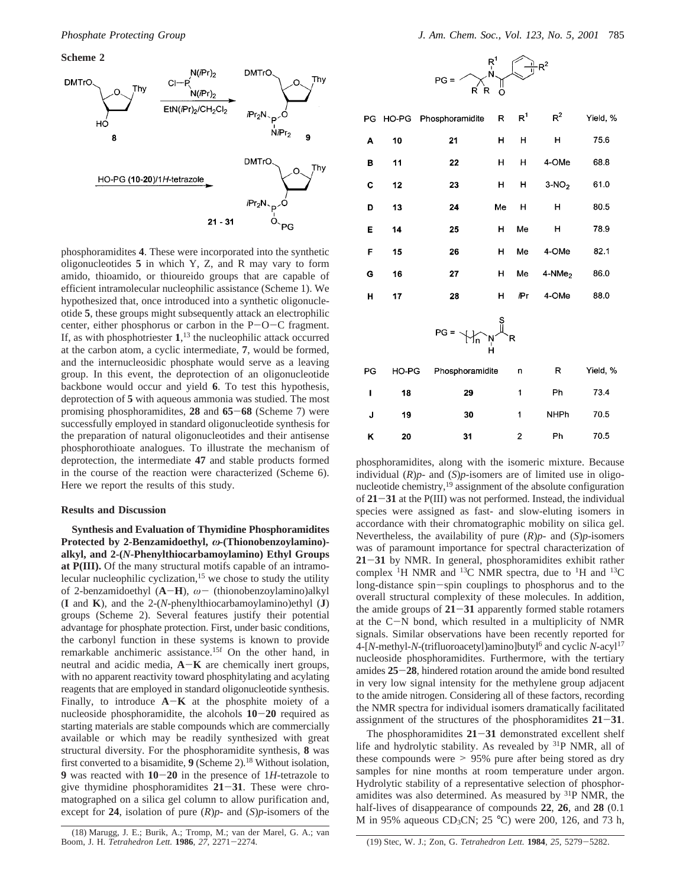**Scheme 2**



phosphoramidites **4**. These were incorporated into the synthetic oligonucleotides **5** in which Y, Z, and R may vary to form amido, thioamido, or thioureido groups that are capable of efficient intramolecular nucleophilic assistance (Scheme 1). We hypothesized that, once introduced into a synthetic oligonucleotide **5**, these groups might subsequently attack an electrophilic center, either phosphorus or carbon in the P-O-C fragment. If, as with phosphotriester  $1$ ,<sup>13</sup>, the nucleophilic attack occurred at the carbon atom, a cyclic intermediate, **7**, would be formed, and the internucleosidic phosphate would serve as a leaving group. In this event, the deprotection of an oligonucleotide backbone would occur and yield **6**. To test this hypothesis, deprotection of **5** with aqueous ammonia was studied. The most promising phosphoramidites, **<sup>28</sup>** and **<sup>65</sup>**-**<sup>68</sup>** (Scheme 7) were successfully employed in standard oligonucleotide synthesis for the preparation of natural oligonucleotides and their antisense phosphorothioate analogues. To illustrate the mechanism of deprotection, the intermediate **47** and stable products formed in the course of the reaction were characterized (Scheme 6). Here we report the results of this study.

## **Results and Discussion**

**Synthesis and Evaluation of Thymidine Phosphoramidites Protected by 2-Benzamidoethyl,** *ω***-(Thionobenzoylamino) alkyl, and 2-(***N***-Phenylthiocarbamoylamino) Ethyl Groups at P(III).** Of the many structural motifs capable of an intramolecular nucleophilic cyclization,15 we chose to study the utility of 2-benzamidoethyl (**A**-**H**), *<sup>ω</sup>*- (thionobenzoylamino)alkyl (**I** and **K**), and the 2-(*N-*phenylthiocarbamoylamino)ethyl (**J**) groups (Scheme 2). Several features justify their potential advantage for phosphate protection. First, under basic conditions, the carbonyl function in these systems is known to provide remarkable anchimeric assistance.15f On the other hand, in neutral and acidic media, **<sup>A</sup>**-**<sup>K</sup>** are chemically inert groups, with no apparent reactivity toward phosphitylating and acylating reagents that are employed in standard oligonucleotide synthesis. Finally, to introduce **<sup>A</sup>**-**<sup>K</sup>** at the phosphite moiety of a nucleoside phosphoramidite, the alcohols **<sup>10</sup>**-**<sup>20</sup>** required as starting materials are stable compounds which are commercially available or which may be readily synthesized with great structural diversity. For the phosphoramidite synthesis, **8** was first converted to a bisamidite, **9** (Scheme 2).18 Without isolation, **<sup>9</sup>** was reacted with **<sup>10</sup>**-**<sup>20</sup>** in the presence of 1*H*-tetrazole to give thymidine phosphoramidites **<sup>21</sup>**-**31**. These were chromatographed on a silica gel column to allow purification and, except for **24**, isolation of pure (*R*)*p*- and (*S*)*p*-isomers of the

$$
PG = \bigwedge_{R \ R}^{R^1} \bigotimes_{J \subseteq P}^{R^2}
$$

| PG                          | HO-PG | Phosphoramidite | R  | $R^1$                   | $R^2$              | Yield, % |  |
|-----------------------------|-------|-----------------|----|-------------------------|--------------------|----------|--|
| A                           | 10    | 21              | н  | Η                       | Н                  | 75.6     |  |
| в                           | 11    | 22              | н  | н                       | 4-OMe              | 68.8     |  |
| C                           | 12    | 23              | н  | н                       | $3-NO2$            | 61.0     |  |
| D                           | 13    | 24              | Me | н                       | н                  | 80.5     |  |
| Е                           | 14    | 25              | н  | Me                      | н                  | 78.9     |  |
| F                           | 15    | 26              | н  | Me                      | 4-OMe              | 82.1     |  |
| G                           | 16    | 27              | н  | Me                      | 4-NMe <sub>2</sub> | 86.0     |  |
| н                           | 17    | 28              | н  | Ær                      | 4-OMe              | 88.0     |  |
| $PG = \sqrt{\frac{S}{n N}}$ |       |                 |    |                         |                    |          |  |
| PG                          | HO-PG | Phosphoramidite |    | n                       | R                  | Yield, % |  |
| ı                           | 18    | 29              |    | 1                       | Ph                 | 73.4     |  |
| J                           | 19    | 30              |    | 1                       | <b>NHPh</b>        | 70.5     |  |
| Κ                           | 20    | 31              |    | $\overline{\mathbf{c}}$ | Ph                 | 70.5     |  |

phosphoramidites, along with the isomeric mixture. Because individual (*R*)*p*- and (*S*)*p*-isomers are of limited use in oligonucleotide chemistry,19 assignment of the absolute configuration of **<sup>21</sup>**-**<sup>31</sup>** at the P(III) was not performed. Instead, the individual species were assigned as fast- and slow-eluting isomers in accordance with their chromatographic mobility on silica gel. Nevertheless, the availability of pure (*R*)*p*- and (*S*)*p*-isomers was of paramount importance for spectral characterization of **<sup>21</sup>**-**<sup>31</sup>** by NMR. In general, phosphoramidites exhibit rather complex <sup>1</sup>H NMR and <sup>13</sup>C NMR spectra, due to <sup>1</sup>H and <sup>13</sup>C long-distance spin-spin couplings to phosphorus and to the overall structural complexity of these molecules. In addition, the amide groups of **<sup>21</sup>**-**<sup>31</sup>** apparently formed stable rotamers at the C-N bond, which resulted in a multiplicity of NMR signals. Similar observations have been recently reported for 4-[*N-*methyl-*N*-(trifluoroacetyl)amino]butyl6 and cyclic *N*-acyl17 nucleoside phosphoramidites. Furthermore, with the tertiary amides **<sup>25</sup>**-**28**, hindered rotation around the amide bond resulted in very low signal intensity for the methylene group adjacent to the amide nitrogen. Considering all of these factors, recording the NMR spectra for individual isomers dramatically facilitated assignment of the structures of the phosphoramidites **<sup>21</sup>**-**31**.

The phosphoramidites **<sup>21</sup>**-**<sup>31</sup>** demonstrated excellent shelf life and hydrolytic stability. As revealed by 31P NMR, all of these compounds were > 95% pure after being stored as dry samples for nine months at room temperature under argon. Hydrolytic stability of a representative selection of phosphoramidites was also determined. As measured by 31P NMR, the half-lives of disappearance of compounds **22**, **26**, and **28** (0.1 M in 95% aqueous CD<sub>3</sub>CN; 25 °C) were 200, 126, and 73 h,

Boom, J. H. *Tetrahedron Lett.* **<sup>1986</sup>**, *<sup>27</sup>*, 2271-2274. (19) Stec, W. J.; Zon, G. *Tetrahedron Lett.* **<sup>1984</sup>**, *<sup>25</sup>*, 5279-5282.

<sup>(18)</sup> Marugg, J. E.; Burik, A.; Tromp, M.; van der Marel, G. A.; van Boom, J. H. Tetrahedron Lett. 1986, 27, 2271-2274.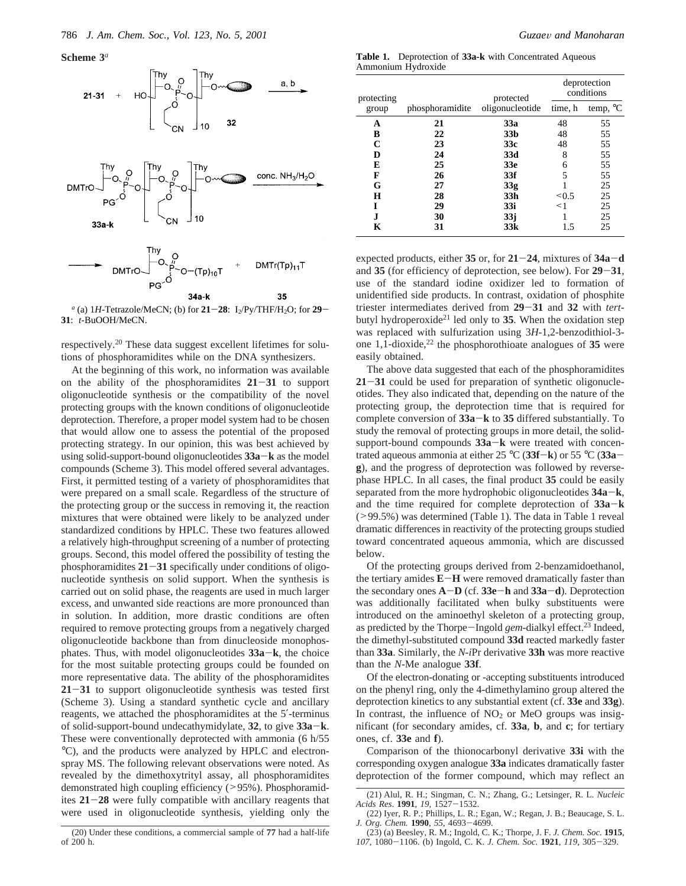**Scheme 3***<sup>a</sup>*





 $34a-k$ *a* (a) 1*H*-Tetrazole/MeCN; (b) for  $21-28$ : I<sub>2</sub>/Py/THF/H<sub>2</sub>O; for  $29-$ **31**: *t*-BuOOH/MeCN.

35

respectively.20 These data suggest excellent lifetimes for solutions of phosphoramidites while on the DNA synthesizers.

At the beginning of this work, no information was available on the ability of the phosphoramidites **<sup>21</sup>**-**<sup>31</sup>** to support oligonucleotide synthesis or the compatibility of the novel protecting groups with the known conditions of oligonucleotide deprotection. Therefore, a proper model system had to be chosen that would allow one to assess the potential of the proposed protecting strategy. In our opinion, this was best achieved by using solid-support-bound oligonucleotides **33a**-**<sup>k</sup>** as the model compounds (Scheme 3). This model offered several advantages. First, it permitted testing of a variety of phosphoramidites that were prepared on a small scale. Regardless of the structure of the protecting group or the success in removing it, the reaction mixtures that were obtained were likely to be analyzed under standardized conditions by HPLC. These two features allowed a relatively high-throughput screening of a number of protecting groups. Second, this model offered the possibility of testing the phosphoramidites **<sup>21</sup>**-**<sup>31</sup>** specifically under conditions of oligonucleotide synthesis on solid support. When the synthesis is carried out on solid phase, the reagents are used in much larger excess, and unwanted side reactions are more pronounced than in solution. In addition, more drastic conditions are often required to remove protecting groups from a negatively charged oligonucleotide backbone than from dinucleoside monophosphates. Thus, with model oligonucleotides **33a**-**k**, the choice for the most suitable protecting groups could be founded on more representative data. The ability of the phosphoramidites **<sup>21</sup>**-**<sup>31</sup>** to support oligonucleotide synthesis was tested first (Scheme 3). Using a standard synthetic cycle and ancillary reagents, we attached the phosphoramidites at the 5′-terminus of solid-support-bound undecathymidylate, **<sup>32</sup>**, to give **33a**-**k**. These were conventionally deprotected with ammonia (6 h/55 °C), and the products were analyzed by HPLC and electronspray MS. The following relevant observations were noted. As revealed by the dimethoxytrityl assay, all phosphoramidites demonstrated high coupling efficiency (>95%). Phosphoramidites **<sup>21</sup>**-**<sup>28</sup>** were fully compatible with ancillary reagents that were used in oligonucleotide synthesis, yielding only the

**Table 1.** Deprotection of **33a-k** with Concentrated Aqueous Ammonium Hydroxide

| protecting   | phosphoramidite | protected       | deprotection<br>conditions |                   |  |
|--------------|-----------------|-----------------|----------------------------|-------------------|--|
| group        |                 | oligonucleotide | time, h                    | temp, $^{\circ}C$ |  |
| A            | 21              | 33a             | 48                         | 55                |  |
| B            | 22              | 33 <sub>b</sub> | 48                         | 55                |  |
| C            | 23              | 33c             | 48                         | 55                |  |
| D            | 24              | 33d             | 8                          | 55                |  |
| E            | 25              | 33 <sub>e</sub> | 6                          | 55                |  |
| F            | 26              | 33f             | 5                          | 55                |  |
| G            | 27              | 33g             |                            | 25                |  |
| н            | 28              | 33 <sub>h</sub> | $\leq 0.5$                 | 25                |  |
| T            | 29              | 33i             | $\leq$ 1                   | 25                |  |
| $\mathbf{J}$ | 30              | 33j             |                            | 25                |  |
| K            | 31              | 33k             | 1.5                        | 25                |  |

expected products, either **<sup>35</sup>** or, for **<sup>21</sup>**-**24**, mixtures of **34a**-**<sup>d</sup>** and **<sup>35</sup>** (for efficiency of deprotection, see below). For **<sup>29</sup>**-**31**, use of the standard iodine oxidizer led to formation of unidentified side products. In contrast, oxidation of phosphite triester intermediates derived from **<sup>29</sup>**-**<sup>31</sup>** and **<sup>32</sup>** with *tert*butyl hydroperoxide21 led only to **35**. When the oxidation step was replaced with sulfurization using 3*H*-1,2-benzodithiol-3 one 1,1-dioxide,22 the phosphorothioate analogues of **35** were easily obtained.

The above data suggested that each of the phosphoramidites **<sup>21</sup>**-**<sup>31</sup>** could be used for preparation of synthetic oligonucleotides. They also indicated that, depending on the nature of the protecting group, the deprotection time that is required for complete conversion of **33a**-**<sup>k</sup>** to **<sup>35</sup>** differed substantially. To study the removal of protecting groups in more detail, the solidsupport-bound compounds **33a**-**<sup>k</sup>** were treated with concentrated aqueous ammonia at either 25 °C (**33f**-**k**) or 55 °C (**33ag**), and the progress of deprotection was followed by reversephase HPLC. In all cases, the final product **35** could be easily separated from the more hydrophobic oligonucleotides **34a**-**k**, and the time required for complete deprotection of **33a**-**<sup>k</sup>** (>99.5%) was determined (Table 1). The data in Table 1 reveal dramatic differences in reactivity of the protecting groups studied toward concentrated aqueous ammonia, which are discussed below.

Of the protecting groups derived from 2-benzamidoethanol, the tertiary amides **<sup>E</sup>**-**<sup>H</sup>** were removed dramatically faster than the secondary ones **<sup>A</sup>**-**<sup>D</sup>** (cf. **33e**-**<sup>h</sup>** and **33a**-**d**). Deprotection was additionally facilitated when bulky substituents were introduced on the aminoethyl skeleton of a protecting group, as predicted by the Thorpe-Ingold *gem*-dialkyl effect.23 Indeed, the dimethyl-substituted compound **33d** reacted markedly faster than **33a**. Similarly, the *N*-*i*Pr derivative **33h** was more reactive than the *N*-Me analogue **33f**.

Of the electron-donating or -accepting substituents introduced on the phenyl ring, only the 4-dimethylamino group altered the deprotection kinetics to any substantial extent (cf. **33e** and **33g**). In contrast, the influence of  $NO<sub>2</sub>$  or MeO groups was insignificant (for secondary amides, cf. **33a**, **b**, and **c**; for tertiary ones, cf. **33e** and **f**).

Comparison of the thionocarbonyl derivative **33i** with the corresponding oxygen analogue **33a** indicates dramatically faster deprotection of the former compound, which may reflect an

<sup>(21)</sup> Alul, R. H.; Singman, C. N.; Zhang, G.; Letsinger, R. L. *Nucleic Acids Res*. **<sup>1991</sup>**, *<sup>19</sup>*, 1527-1532.

<sup>(22)</sup> Iyer, R. P.; Phillips, L. R.; Egan, W.; Regan, J. B.; Beaucage, S. L. *J. Org. Chem.* **<sup>1990</sup>**, *<sup>55</sup>*, 4693-4699.

<sup>(20)</sup> Under these conditions, a commercial sample of **77** had a half-life of 200 h.

<sup>(23) (</sup>a) Beesley, R. M.; Ingold, C. K.; Thorpe, J. F. *J. Chem. Soc.* **1915**, *<sup>107</sup>*, 1080-1106. (b) Ingold, C. K. *J. Chem. Soc.* **<sup>1921</sup>**, *<sup>119</sup>*, 305-329.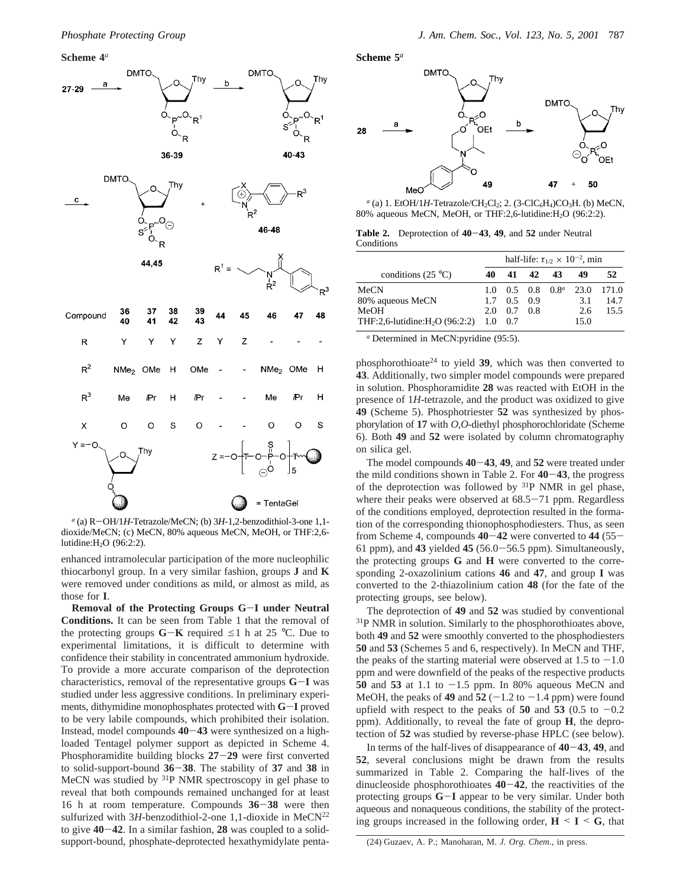**Scheme 4***<sup>a</sup>*



*<sup>a</sup>* (a) R-OH/1*H*-Tetrazole/MeCN; (b) 3*H*-1,2-benzodithiol-3-one 1,1 dioxide/MeCN; (c) MeCN, 80% aqueous MeCN, MeOH, or THF:2,6 lutidine:H2O (96:2:2).

enhanced intramolecular participation of the more nucleophilic thiocarbonyl group. In a very similar fashion, groups **J** and **K** were removed under conditions as mild, or almost as mild, as those for **I**.

**Removal of the Protecting Groups G**-**I under Neutral Conditions.** It can be seen from Table 1 that the removal of the protecting groups  $G-K$  required  $\leq 1$  h at 25 °C. Due to experimental limitations, it is difficult to determine with confidence their stability in concentrated ammonium hydroxide. To provide a more accurate comparison of the deprotection characteristics, removal of the representative groups **<sup>G</sup>**-**<sup>I</sup>** was studied under less aggressive conditions. In preliminary experiments, dithymidine monophosphates protected with **<sup>G</sup>**-**<sup>I</sup>** proved to be very labile compounds, which prohibited their isolation. Instead, model compounds **<sup>40</sup>**-**<sup>43</sup>** were synthesized on a highloaded Tentagel polymer support as depicted in Scheme 4. Phosphoramidite building blocks **<sup>27</sup>**-**<sup>29</sup>** were first converted to solid-support-bound **<sup>36</sup>**-**38**. The stability of **<sup>37</sup>** and **<sup>38</sup>** in MeCN was studied by 31P NMR spectroscopy in gel phase to reveal that both compounds remained unchanged for at least 16 h at room temperature. Compounds **<sup>36</sup>**-**<sup>38</sup>** were then sulfurized with  $3H$ -benzodithiol-2-one 1,1-dioxide in MeCN<sup>22</sup> to give **<sup>40</sup>**-**42**. In a similar fashion, **<sup>28</sup>** was coupled to a solidsupport-bound, phosphate-deprotected hexathymidylate penta**Scheme 5***<sup>a</sup>*



*a* (a) 1. EtOH/1*H*-Tetrazole/CH<sub>2</sub>Cl<sub>2</sub>; 2. (3-ClC<sub>6</sub>H<sub>4</sub>)CO<sub>3</sub>H. (b) MeCN, 80% aqueous MeCN, MeOH, or THF:2,6-lutidine:H2O (96:2:2).

**Table 2.** Deprotection of **<sup>40</sup>**-**43**, **<sup>49</sup>**, and **<sup>52</sup>** under Neutral **Conditions** 

|                                  | half-life: $\tau_{1/2} \times 10^{-2}$ , min |                           |          |  |      |                                                              |
|----------------------------------|----------------------------------------------|---------------------------|----------|--|------|--------------------------------------------------------------|
| conditions $(25 °C)$             | 40.                                          |                           | 41 42 43 |  | 49   | 52                                                           |
| MeCN                             |                                              |                           |          |  |      | $1.0 \quad 0.5 \quad 0.8 \quad 0.8^a \quad 23.0 \quad 171.0$ |
| 80% aqueous MeCN                 |                                              | $1.7 \quad 0.5 \quad 0.9$ |          |  | 3.1  | 14.7                                                         |
| MeOH                             |                                              | $2.0 \quad 0.7 \quad 0.8$ |          |  | 2.6  | 15.5                                                         |
| THF:2,6-lutidine: $H_2O(96:2:2)$ | 1.0 0.7                                      |                           |          |  | 15.0 |                                                              |

*<sup>a</sup>* Determined in MeCN:pyridine (95:5).

phosphorothioate24 to yield **39**, which was then converted to **43**. Additionally, two simpler model compounds were prepared in solution. Phosphoramidite **28** was reacted with EtOH in the presence of 1*H*-tetrazole, and the product was oxidized to give **49** (Scheme 5). Phosphotriester **52** was synthesized by phosphorylation of **17** with *O*,*O*-diethyl phosphorochloridate (Scheme 6). Both **49** and **52** were isolated by column chromatography on silica gel.

The model compounds **<sup>40</sup>**-**43**, **<sup>49</sup>**, and **<sup>52</sup>** were treated under the mild conditions shown in Table 2. For **<sup>40</sup>**-**43**, the progress of the deprotection was followed by  $31P$  NMR in gel phase, where their peaks were observed at  $68.5-71$  ppm. Regardless of the conditions employed, deprotection resulted in the formation of the corresponding thionophosphodiesters. Thus, as seen from Scheme 4, compounds **<sup>40</sup>**-**<sup>42</sup>** were converted to **<sup>44</sup>** (55- 61 ppm), and **<sup>43</sup>** yielded **<sup>45</sup>** (56.0-56.5 ppm). Simultaneously, the protecting groups **G** and **H** were converted to the corresponding 2-oxazolinium cations **46** and **47**, and group **I** was converted to the 2-thiazolinium cation **48** (for the fate of the protecting groups, see below).

The deprotection of **49** and **52** was studied by conventional <sup>31</sup>P NMR in solution. Similarly to the phosphorothioates above, both **49** and **52** were smoothly converted to the phosphodiesters **50** and **53** (Schemes 5 and 6, respectively). In MeCN and THF, the peaks of the starting material were observed at 1.5 to  $-1.0$ ppm and were downfield of the peaks of the respective products **50** and **53** at 1.1 to  $-1.5$  ppm. In 80% aqueous MeCN and MeOH, the peaks of 49 and  $52$  ( $-1.2$  to  $-1.4$  ppm) were found upfield with respect to the peaks of  $50$  and  $53$  (0.5 to  $-0.2$ ppm). Additionally, to reveal the fate of group **H**, the deprotection of **52** was studied by reverse-phase HPLC (see below).

In terms of the half-lives of disappearance of **<sup>40</sup>**-**43**, **<sup>49</sup>**, and **52**, several conclusions might be drawn from the results summarized in Table 2. Comparing the half-lives of the dinucleoside phosphorothioates **<sup>40</sup>**-**42**, the reactivities of the protecting groups **<sup>G</sup>**-**<sup>I</sup>** appear to be very similar. Under both aqueous and nonaqueous conditions, the stability of the protecting groups increased in the following order,  $H \le I \le G$ , that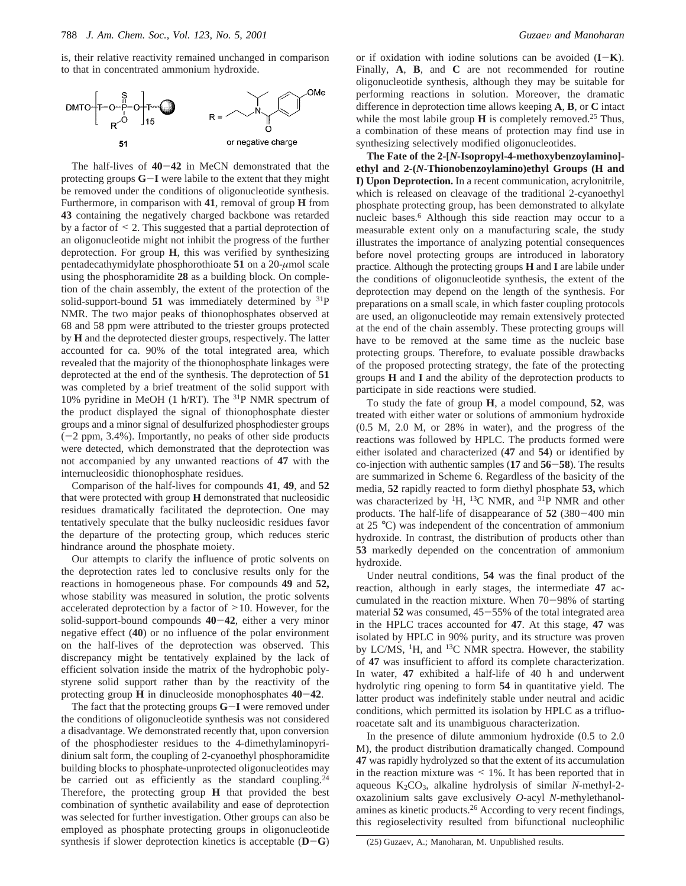is, their relative reactivity remained unchanged in comparison to that in concentrated ammonium hydroxide.



The half-lives of **<sup>40</sup>**-**<sup>42</sup>** in MeCN demonstrated that the protecting groups **<sup>G</sup>**-**<sup>I</sup>** were labile to the extent that they might be removed under the conditions of oligonucleotide synthesis. Furthermore, in comparison with **41**, removal of group **H** from **43** containing the negatively charged backbone was retarded by a factor of < 2. This suggested that a partial deprotection of an oligonucleotide might not inhibit the progress of the further deprotection. For group **H**, this was verified by synthesizing pentadecathymidylate phosphorothioate **51** on a 20-*µ*mol scale using the phosphoramidite **28** as a building block. On completion of the chain assembly, the extent of the protection of the solid-support-bound **51** was immediately determined by 31P NMR. The two major peaks of thionophosphates observed at 68 and 58 ppm were attributed to the triester groups protected by **H** and the deprotected diester groups, respectively. The latter accounted for ca. 90% of the total integrated area, which revealed that the majority of the thionophosphate linkages were deprotected at the end of the synthesis. The deprotection of **51** was completed by a brief treatment of the solid support with 10% pyridine in MeOH (1 h/RT). The 31P NMR spectrum of the product displayed the signal of thionophosphate diester groups and a minor signal of desulfurized phosphodiester groups  $(-2$  ppm, 3.4%). Importantly, no peaks of other side products were detected, which demonstrated that the deprotection was not accompanied by any unwanted reactions of **47** with the internucleosidic thionophosphate residues.

Comparison of the half-lives for compounds **41**, **49**, and **52** that were protected with group **H** demonstrated that nucleosidic residues dramatically facilitated the deprotection. One may tentatively speculate that the bulky nucleosidic residues favor the departure of the protecting group, which reduces steric hindrance around the phosphate moiety.

Our attempts to clarify the influence of protic solvents on the deprotection rates led to conclusive results only for the reactions in homogeneous phase. For compounds **49** and **52,** whose stability was measured in solution, the protic solvents accelerated deprotection by a factor of  $>10$ . However, for the solid-support-bound compounds **<sup>40</sup>**-**42**, either a very minor negative effect (**40**) or no influence of the polar environment on the half-lives of the deprotection was observed. This discrepancy might be tentatively explained by the lack of efficient solvation inside the matrix of the hydrophobic polystyrene solid support rather than by the reactivity of the protecting group **<sup>H</sup>** in dinucleoside monophosphates **<sup>40</sup>**-**42**.

The fact that the protecting groups **<sup>G</sup>**-**<sup>I</sup>** were removed under the conditions of oligonucleotide synthesis was not considered a disadvantage. We demonstrated recently that, upon conversion of the phosphodiester residues to the 4-dimethylaminopyridinium salt form, the coupling of 2-cyanoethyl phosphoramidite building blocks to phosphate-unprotected oligonucleotides may be carried out as efficiently as the standard coupling.<sup>24</sup> Therefore, the protecting group **H** that provided the best combination of synthetic availability and ease of deprotection was selected for further investigation. Other groups can also be employed as phosphate protecting groups in oligonucleotide synthesis if slower deprotection kinetics is acceptable  $(D - G)$ 

or if oxidation with iodine solutions can be avoided (**I**-**K**). Finally, **A**, **B**, and **C** are not recommended for routine oligonucleotide synthesis, although they may be suitable for performing reactions in solution. Moreover, the dramatic difference in deprotection time allows keeping **A**, **B**, or **C** intact while the most labile group  $H$  is completely removed.<sup>25</sup> Thus, a combination of these means of protection may find use in synthesizing selectively modified oligonucleotides.

**The Fate of the 2-[***N***-Isopropyl-4-methoxybenzoylamino] ethyl and 2-(***N***-Thionobenzoylamino)ethyl Groups (H and I) Upon Deprotection.** In a recent communication, acrylonitrile, which is released on cleavage of the traditional 2-cyanoethyl phosphate protecting group, has been demonstrated to alkylate nucleic bases.6 Although this side reaction may occur to a measurable extent only on a manufacturing scale, the study illustrates the importance of analyzing potential consequences before novel protecting groups are introduced in laboratory practice. Although the protecting groups **H** and **I** are labile under the conditions of oligonucleotide synthesis, the extent of the deprotection may depend on the length of the synthesis. For preparations on a small scale, in which faster coupling protocols are used, an oligonucleotide may remain extensively protected at the end of the chain assembly. These protecting groups will have to be removed at the same time as the nucleic base protecting groups. Therefore, to evaluate possible drawbacks of the proposed protecting strategy, the fate of the protecting groups **H** and **I** and the ability of the deprotection products to participate in side reactions were studied.

To study the fate of group **H**, a model compound, **52**, was treated with either water or solutions of ammonium hydroxide (0.5 M, 2.0 M, or 28% in water), and the progress of the reactions was followed by HPLC. The products formed were either isolated and characterized (**47** and **54**) or identified by co-injection with authentic samples (**<sup>17</sup>** and **<sup>56</sup>**-**58**). The results are summarized in Scheme 6. Regardless of the basicity of the media, **52** rapidly reacted to form diethyl phosphate **53,** which was characterized by  ${}^{1}H$ ,  ${}^{13}C$  NMR, and  ${}^{31}P$  NMR and other products. The half-life of disappearance of **<sup>52</sup>** (380-400 min at 25 °C) was independent of the concentration of ammonium hydroxide. In contrast, the distribution of products other than **53** markedly depended on the concentration of ammonium hydroxide.

Under neutral conditions, **54** was the final product of the reaction, although in early stages, the intermediate **47** accumulated in the reaction mixture. When 70-98% of starting material **<sup>52</sup>** was consumed, 45-55% of the total integrated area in the HPLC traces accounted for **47**. At this stage, **47** was isolated by HPLC in 90% purity, and its structure was proven by LC/MS,  $^1$ H, and  $^13$ C NMR spectra. However, the stability of **47** was insufficient to afford its complete characterization. In water, **47** exhibited a half-life of 40 h and underwent hydrolytic ring opening to form **54** in quantitative yield. The latter product was indefinitely stable under neutral and acidic conditions, which permitted its isolation by HPLC as a trifluoroacetate salt and its unambiguous characterization.

In the presence of dilute ammonium hydroxide (0.5 to 2.0 M), the product distribution dramatically changed. Compound **47** was rapidly hydrolyzed so that the extent of its accumulation in the reaction mixture was  $\leq 1\%$ . It has been reported that in aqueous K2CO3, alkaline hydrolysis of similar *N*-methyl-2 oxazolinium salts gave exclusively *O*-acyl *N*-methylethanolamines as kinetic products.26 According to very recent findings, this regioselectivity resulted from bifunctional nucleophilic

<sup>(25)</sup> Guzaev, A.; Manoharan, M. Unpublished results.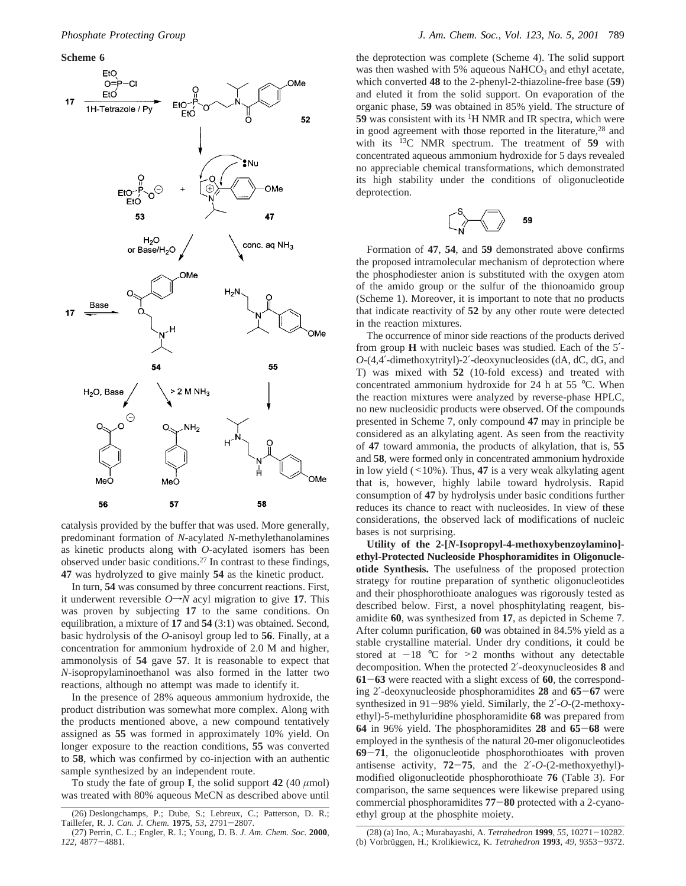**Scheme 6**



catalysis provided by the buffer that was used. More generally, predominant formation of *N*-acylated *N*-methylethanolamines as kinetic products along with *O*-acylated isomers has been observed under basic conditions.27 In contrast to these findings, **47** was hydrolyzed to give mainly **54** as the kinetic product.

In turn, **54** was consumed by three concurrent reactions. First, it underwent reversible  $O \rightarrow N$  acyl migration to give 17. This was proven by subjecting **17** to the same conditions. On equilibration, a mixture of **17** and **54** (3:1) was obtained. Second, basic hydrolysis of the *O*-anisoyl group led to **56**. Finally, at a concentration for ammonium hydroxide of 2.0 M and higher, ammonolysis of **54** gave **57**. It is reasonable to expect that *N*-isopropylaminoethanol was also formed in the latter two reactions, although no attempt was made to identify it.

In the presence of 28% aqueous ammonium hydroxide, the product distribution was somewhat more complex. Along with the products mentioned above, a new compound tentatively assigned as **55** was formed in approximately 10% yield. On longer exposure to the reaction conditions, **55** was converted to **58**, which was confirmed by co-injection with an authentic sample synthesized by an independent route.

To study the fate of group **I**, the solid support  $42$  (40  $\mu$ mol) was treated with 80% aqueous MeCN as described above until

the deprotection was complete (Scheme 4). The solid support was then washed with 5% aqueous  $NaHCO<sub>3</sub>$  and ethyl acetate, which converted **48** to the 2-phenyl-2-thiazoline-free base (**59**) and eluted it from the solid support. On evaporation of the organic phase, **59** was obtained in 85% yield. The structure of **59** was consistent with its 1H NMR and IR spectra, which were in good agreement with those reported in the literature, $28$  and with its 13C NMR spectrum. The treatment of **59** with concentrated aqueous ammonium hydroxide for 5 days revealed no appreciable chemical transformations, which demonstrated its high stability under the conditions of oligonucleotide deprotection.



Formation of **47**, **54**, and **59** demonstrated above confirms the proposed intramolecular mechanism of deprotection where the phosphodiester anion is substituted with the oxygen atom of the amido group or the sulfur of the thionoamido group (Scheme 1). Moreover, it is important to note that no products that indicate reactivity of **52** by any other route were detected in the reaction mixtures.

The occurrence of minor side reactions of the products derived from group **H** with nucleic bases was studied. Each of the 5′- *O*-(4,4′-dimethoxytrityl)-2′-deoxynucleosides (dA, dC, dG, and T) was mixed with **52** (10-fold excess) and treated with concentrated ammonium hydroxide for 24 h at 55 °C. When the reaction mixtures were analyzed by reverse-phase HPLC, no new nucleosidic products were observed. Of the compounds presented in Scheme 7, only compound **47** may in principle be considered as an alkylating agent. As seen from the reactivity of **47** toward ammonia, the products of alkylation, that is, **55** and **58**, were formed only in concentrated ammonium hydroxide in low yield  $($  < 10%). Thus, **47** is a very weak alkylating agent that is, however, highly labile toward hydrolysis. Rapid consumption of **47** by hydrolysis under basic conditions further reduces its chance to react with nucleosides. In view of these considerations, the observed lack of modifications of nucleic bases is not surprising.

**Utility of the 2-[***N***-Isopropyl-4-methoxybenzoylamino] ethyl-Protected Nucleoside Phosphoramidites in Oligonucleotide Synthesis.** The usefulness of the proposed protection strategy for routine preparation of synthetic oligonucleotides and their phosphorothioate analogues was rigorously tested as described below. First, a novel phosphitylating reagent, bisamidite **60**, was synthesized from **17**, as depicted in Scheme 7. After column purification, **60** was obtained in 84.5% yield as a stable crystalline material. Under dry conditions, it could be stored at  $-18$  °C for  $\geq$ 2 months without any detectable decomposition. When the protected 2′-deoxynucleosides **8** and **<sup>61</sup>**-**<sup>63</sup>** were reacted with a slight excess of **<sup>60</sup>**, the corresponding 2′-deoxynucleoside phosphoramidites **<sup>28</sup>** and **<sup>65</sup>**-**<sup>67</sup>** were synthesized in 91-98% yield. Similarly, the 2′-*O*-(2-methoxyethyl)-5-methyluridine phosphoramidite **68** was prepared from **<sup>64</sup>** in 96% yield. The phosphoramidites **<sup>28</sup>** and **<sup>65</sup>**-**<sup>68</sup>** were employed in the synthesis of the natural 20-mer oligonucleotides **<sup>69</sup>**-**71**, the oligonucleotide phosphorothioates with proven antisense activity, **<sup>72</sup>**-**75**, and the 2′-*O*-(2-methoxyethyl) modified oligonucleotide phosphorothioate **76** (Table 3). For comparison, the same sequences were likewise prepared using commercial phosphoramidites **77-80** protected with a 2-cyano-<br>ethyl group at the phosphite moiety.

<sup>(26)</sup> Deslongchamps, P.; Dube, S.; Lebreux, C.; Patterson, D. R.; ethyl group at the phosphite moiety.<br>Taillefer, R. J. *Can. J. Chem.* **1975**, 53, 2791–2807.<br>(27) Perrin, C. L.; Engler, R. I.; Young, D. B. *J. Am. Chem. So* 

<sup>(27)</sup> Perrin, C. L.; Engler, R. I.; Young, D. B. *J. Am. Chem. Soc*. **2000**, *<sup>122</sup>*, 4877-4881.

<sup>(28) (</sup>a) Ino, A.; Murabayashi, A. *Tetrahedron* **<sup>1999</sup>**, *<sup>55</sup>*, 10271-10282. (b) Vorbru¨ggen, H.; Krolikiewicz, K. *Tetrahedron* **<sup>1993</sup>**, *<sup>49</sup>*, 9353-9372.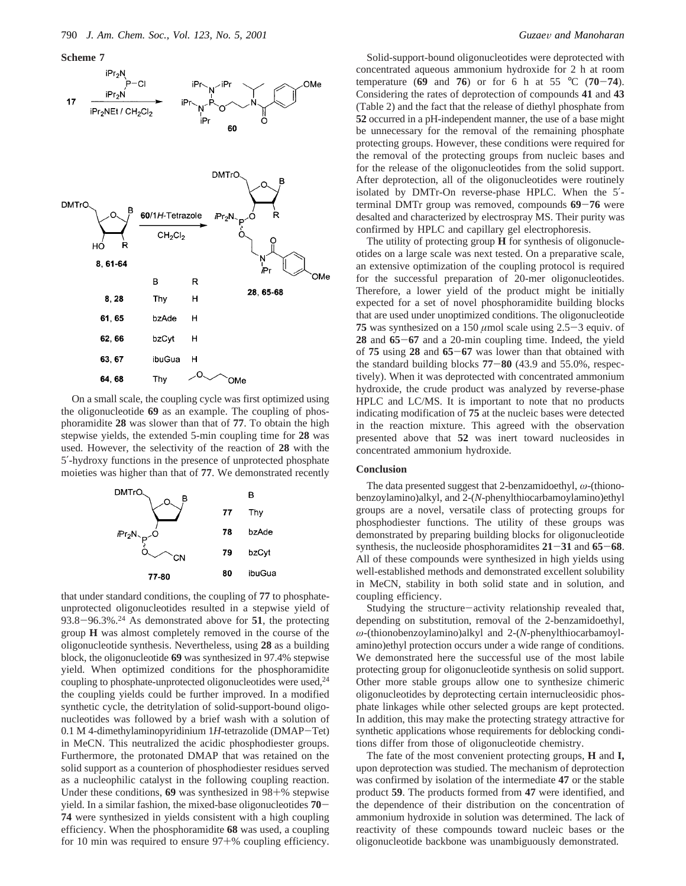**Scheme 7**



On a small scale, the coupling cycle was first optimized using the oligonucleotide **69** as an example. The coupling of phosphoramidite **28** was slower than that of **77**. To obtain the high stepwise yields, the extended 5-min coupling time for **28** was used. However, the selectivity of the reaction of **28** with the 5′-hydroxy functions in the presence of unprotected phosphate moieties was higher than that of **77**. We demonstrated recently



that under standard conditions, the coupling of **77** to phosphateunprotected oligonucleotides resulted in a stepwise yield of 93.8-96.3%.24 As demonstrated above for **<sup>51</sup>**, the protecting group **H** was almost completely removed in the course of the oligonucleotide synthesis. Nevertheless, using **28** as a building block, the oligonucleotide **69** was synthesized in 97.4% stepwise yield. When optimized conditions for the phosphoramidite coupling to phosphate-unprotected oligonucleotides were used, $^{24}$ the coupling yields could be further improved. In a modified synthetic cycle, the detritylation of solid-support-bound oligonucleotides was followed by a brief wash with a solution of 0.1 M 4-dimethylaminopyridinium 1*H*-tetrazolide (DMAP-Tet) in MeCN. This neutralized the acidic phosphodiester groups. Furthermore, the protonated DMAP that was retained on the solid support as a counterion of phosphodiester residues served as a nucleophilic catalyst in the following coupling reaction. Under these conditions, **<sup>69</sup>** was synthesized in 98+% stepwise yield. In a similar fashion, the mixed-base oligonucleotides **<sup>70</sup>**- **74** were synthesized in yields consistent with a high coupling efficiency. When the phosphoramidite **68** was used, a coupling for 10 min was required to ensure 97+% coupling efficiency.

Solid-support-bound oligonucleotides were deprotected with concentrated aqueous ammonium hydroxide for 2 h at room temperature (69 and 76) or for 6 h at 55  $\degree$ C (70-74). Considering the rates of deprotection of compounds **41** and **43** (Table 2) and the fact that the release of diethyl phosphate from **52** occurred in a pH-independent manner, the use of a base might be unnecessary for the removal of the remaining phosphate protecting groups. However, these conditions were required for the removal of the protecting groups from nucleic bases and for the release of the oligonucleotides from the solid support. After deprotection, all of the oligonucleotides were routinely isolated by DMTr-On reverse-phase HPLC. When the 5′ terminal DMTr group was removed, compounds **<sup>69</sup>**-**<sup>76</sup>** were desalted and characterized by electrospray MS. Their purity was confirmed by HPLC and capillary gel electrophoresis.

The utility of protecting group **H** for synthesis of oligonucleotides on a large scale was next tested. On a preparative scale, an extensive optimization of the coupling protocol is required for the successful preparation of 20-mer oligonucleotides. Therefore, a lower yield of the product might be initially expected for a set of novel phosphoramidite building blocks that are used under unoptimized conditions. The oligonucleotide **75** was synthesized on a 150  $\mu$ mol scale using 2.5-3 equiv. of **<sup>28</sup>** and **<sup>65</sup>**-**<sup>67</sup>** and a 20-min coupling time. Indeed, the yield of **<sup>75</sup>** using **<sup>28</sup>** and **<sup>65</sup>**-**<sup>67</sup>** was lower than that obtained with the standard building blocks **<sup>77</sup>**-**<sup>80</sup>** (43.9 and 55.0%, respectively). When it was deprotected with concentrated ammonium hydroxide, the crude product was analyzed by reverse-phase HPLC and LC/MS. It is important to note that no products indicating modification of **75** at the nucleic bases were detected in the reaction mixture. This agreed with the observation presented above that **52** was inert toward nucleosides in concentrated ammonium hydroxide.

#### **Conclusion**

The data presented suggest that 2-benzamidoethyl, *ω*-(thionobenzoylamino)alkyl, and 2-(*N*-phenylthiocarbamoylamino)ethyl groups are a novel, versatile class of protecting groups for phosphodiester functions. The utility of these groups was demonstrated by preparing building blocks for oligonucleotide synthesis, the nucleoside phosphoramidites **<sup>21</sup>**-**<sup>31</sup>** and **<sup>65</sup>**-**68**. All of these compounds were synthesized in high yields using well-established methods and demonstrated excellent solubility in MeCN, stability in both solid state and in solution, and coupling efficiency.

Studying the structure-activity relationship revealed that, depending on substitution, removal of the 2-benzamidoethyl, *ω*-(thionobenzoylamino)alkyl and 2-(*N*-phenylthiocarbamoylamino)ethyl protection occurs under a wide range of conditions. We demonstrated here the successful use of the most labile protecting group for oligonucleotide synthesis on solid support. Other more stable groups allow one to synthesize chimeric oligonucleotides by deprotecting certain internucleosidic phosphate linkages while other selected groups are kept protected. In addition, this may make the protecting strategy attractive for synthetic applications whose requirements for deblocking conditions differ from those of oligonucleotide chemistry.

The fate of the most convenient protecting groups, **H** and **I,** upon deprotection was studied. The mechanism of deprotection was confirmed by isolation of the intermediate **47** or the stable product **59**. The products formed from **47** were identified, and the dependence of their distribution on the concentration of ammonium hydroxide in solution was determined. The lack of reactivity of these compounds toward nucleic bases or the oligonucleotide backbone was unambiguously demonstrated.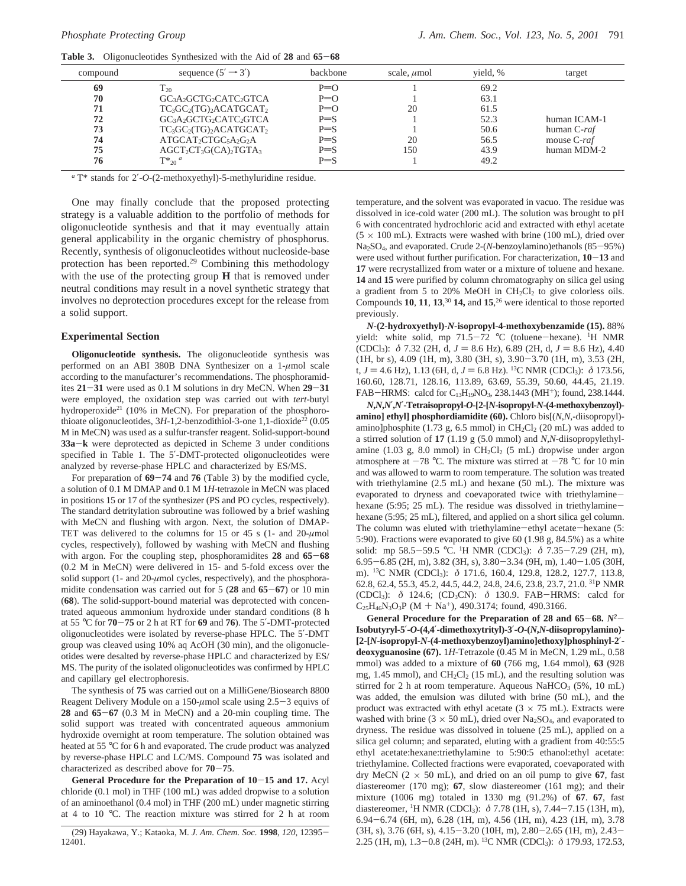**Table 3.** Oligonucleotides Synthesized with the Aid of **<sup>28</sup>** and **<sup>65</sup>**-**<sup>68</sup>**

| compound | sequence $(5' \rightarrow 3')$                                          | <b>backbone</b> | scale, $\mu$ mol | vield, % | target       |
|----------|-------------------------------------------------------------------------|-----------------|------------------|----------|--------------|
| 69       | $T_{20}$                                                                | $P=0$           |                  | 69.2     |              |
| 70       | GC <sub>3</sub> A <sub>2</sub> GCTG <sub>2</sub> CATC <sub>2</sub> GTCA | $P=O$           |                  | 63.1     |              |
| 71       | $TC_3GC_2(TG)_2ACATGCAT_2$                                              | $P=0$           | 20               | 61.5     |              |
| 72       | GC <sub>3</sub> A <sub>2</sub> GCTG <sub>2</sub> CATC <sub>2</sub> GTCA | $P = S$         |                  | 52.3     | human ICAM-1 |
| 73       | $TC_3GC_2(TG)_2ACATGCAT_2$                                              | $P = S$         |                  | 50.6     | human C-raf  |
| 74       | $ATGCAT_2CTGC_5A_2G_2A$                                                 | $P = S$         | 20               | 56.5     | mouse C-raf  |
| 75       | $AGCT_2CT_3G(CA)_2TGTA_3$                                               | $P = S$         | 150              | 43.9     | human MDM-2  |
| 76       | $T^*_{20}$ <sup>a</sup>                                                 | $P=S$           |                  | 49.2     |              |
|          |                                                                         |                 |                  |          |              |

*<sup>a</sup>* T\* stands for 2′-*O*-(2-methoxyethyl)-5-methyluridine residue.

One may finally conclude that the proposed protecting strategy is a valuable addition to the portfolio of methods for oligonucleotide synthesis and that it may eventually attain general applicability in the organic chemistry of phosphorus. Recently, synthesis of oligonucleotides without nucleoside-base protection has been reported.29 Combining this methodology with the use of the protecting group **H** that is removed under neutral conditions may result in a novel synthetic strategy that involves no deprotection procedures except for the release from a solid support.

#### **Experimental Section**

**Oligonucleotide synthesis.** The oligonucleotide synthesis was performed on an ABI 380B DNA Synthesizer on a 1-*µ*mol scale according to the manufacturer's recommendations. The phosphoramidites **<sup>21</sup>**-**<sup>31</sup>** were used as 0.1 M solutions in dry MeCN. When **<sup>29</sup>**-**<sup>31</sup>** were employed, the oxidation step was carried out with *tert*-butyl hydroperoxide<sup>21</sup> (10% in MeCN). For preparation of the phosphorothioate oligonucleotides, 3H-1,2-benzodithiol-3-one 1,1-dioxide<sup>22</sup> (0.05 M in MeCN) was used as a sulfur-transfer reagent. Solid-support-bound **33a**-**<sup>k</sup>** were deprotected as depicted in Scheme 3 under conditions specified in Table 1. The 5′-DMT-protected oligonucleotides were analyzed by reverse-phase HPLC and characterized by ES/MS.

For preparation of **<sup>69</sup>**-**<sup>74</sup>** and **<sup>76</sup>** (Table 3) by the modified cycle, a solution of 0.1 M DMAP and 0.1 M 1*H*-tetrazole in MeCN was placed in positions 15 or 17 of the synthesizer (PS and PO cycles, respectively). The standard detritylation subroutine was followed by a brief washing with MeCN and flushing with argon. Next, the solution of DMAP-TET was delivered to the columns for 15 or 45 s (1- and 20-*µ*mol cycles, respectively), followed by washing with MeCN and flushing with argon. For the coupling step, phosphoramidites **<sup>28</sup>** and **<sup>65</sup>**-**<sup>68</sup>** (0.2 M in MeCN) were delivered in 15- and 5-fold excess over the solid support (1- and 20- $\mu$ mol cycles, respectively), and the phosphoramidite condensation was carried out for 5 (**<sup>28</sup>** and **<sup>65</sup>**-**67**) or 10 min (**68**). The solid-support-bound material was deprotected with concentrated aqueous ammonium hydroxide under standard conditions (8 h at 55 °C for **<sup>70</sup>**-**<sup>75</sup>** or 2 h at RT for **<sup>69</sup>** and **<sup>76</sup>**). The 5′-DMT-protected oligonucleotides were isolated by reverse-phase HPLC. The 5′-DMT group was cleaved using 10% aq AcOH (30 min), and the oligonucleotides were desalted by reverse-phase HPLC and characterized by ES/ MS. The purity of the isolated oligonucleotides was confirmed by HPLC and capillary gel electrophoresis.

The synthesis of **75** was carried out on a MilliGene/Biosearch 8800 Reagent Delivery Module on a 150-*µ*mol scale using 2.5-3 equivs of **<sup>28</sup>** and **<sup>65</sup>**-**<sup>67</sup>** (0.3 M in MeCN) and a 20-min coupling time. The solid support was treated with concentrated aqueous ammonium hydroxide overnight at room temperature. The solution obtained was heated at 55 °C for 6 h and evaporated. The crude product was analyzed by reverse-phase HPLC and LC/MS. Compound **75** was isolated and characterized as described above for **<sup>70</sup>**-**75**.

**General Procedure for the Preparation of 10**-**15 and 17.** Acyl chloride (0.1 mol) in THF (100 mL) was added dropwise to a solution of an aminoethanol (0.4 mol) in THF (200 mL) under magnetic stirring at 4 to 10 °C. The reaction mixture was stirred for 2 h at room

temperature, and the solvent was evaporated in vacuo. The residue was dissolved in ice-cold water (200 mL). The solution was brought to pH 6 with concentrated hydrochloric acid and extracted with ethyl acetate  $(5 \times 100 \text{ mL})$ . Extracts were washed with brine (100 mL), dried over Na2SO4, and evaporated. Crude 2-(*N*-benzoylamino)ethanols (85-95%) were used without further purification. For characterization, **<sup>10</sup>**-**<sup>13</sup>** and **17** were recrystallized from water or a mixture of toluene and hexane. **14** and **15** were purified by column chromatography on silica gel using a gradient from 5 to 20% MeOH in  $CH_2Cl_2$  to give colorless oils. Compounds **10**, **11**, **13**, <sup>30</sup> **14,** and **15**, <sup>26</sup> were identical to those reported previously.

*N***-(2-hydroxyethyl)-***N***-isopropyl-4-methoxybenzamide (15).** 88% yield: white solid, mp 71.5-72 °C (toluene-hexane). <sup>1</sup>H NMR (CDCl<sub>3</sub>):  $\delta$  7.32 (2H, d,  $J = 8.6$  Hz), 6.89 (2H, d,  $J = 8.6$  Hz), 4.40 (1H, br s), 4.09 (1H, m), 3.80 (3H, s), 3.90-3.70 (1H, m), 3.53 (2H, t,  $J = 4.6$  Hz), 1.13 (6H, d,  $J = 6.8$  Hz). <sup>13</sup>C NMR (CDCl<sub>3</sub>):  $\delta$  173.56, 160.60, 128.71, 128.16, 113.89, 63.69, 55.39, 50.60, 44.45, 21.19. FAB-HRMS: calcd for C<sub>13</sub>H<sub>19</sub>NO<sub>3</sub>, 238.1443 (MH<sup>+</sup>); found, 238.1444.

*N***,***N***,***N*′**,***N*′**-Tetraisopropyl-***O***-[2-[***N***-isopropyl-***N***-(4-methoxybenzoyl) amino] ethyl] phosphordiamidite (60).** Chloro bis[(*N*,*N*,-diisopropyl) amino]phosphite (1.73 g, 6.5 mmol) in  $CH_2Cl_2$  (20 mL) was added to a stirred solution of **17** (1.19 g (5.0 mmol) and *N*,*N*-diisopropylethylamine (1.03 g, 8.0 mmol) in  $CH_2Cl_2$  (5 mL) dropwise under argon atmosphere at  $-78$  °C. The mixture was stirred at  $-78$  °C for 10 min and was allowed to warm to room temperature. The solution was treated with triethylamine (2.5 mL) and hexane (50 mL). The mixture was evaporated to dryness and coevaporated twice with triethylaminehexane (5:95; 25 mL). The residue was dissolved in triethylaminehexane (5:95; 25 mL), filtered, and applied on a short silica gel column. The column was eluted with triethylamine-ethyl acetate-hexane (5: 5:90). Fractions were evaporated to give 60 (1.98 g, 84.5%) as a white solid: mp 58.5-59.5 °C. <sup>1</sup>H NMR (CDCl<sub>3</sub>): δ 7.35-7.29 (2H, m), 6.95-6.85 (2H, m), 3.82 (3H, s), 3.80-3.34 (9H, m), 1.40-1.05 (30H, m). <sup>13</sup>C NMR (CDCl<sub>3</sub>): δ 171.6, 160.4, 129.8, 128.2, 127.7, 113.8, 62.8, 62.4, 55.3, 45.2, 44.5, 44.2, 24.8, 24.6, 23.8, 23.7, 21.0. 31P NMR (CDCl<sub>3</sub>):  $\delta$  124.6; (CD<sub>3</sub>CN):  $\delta$  130.9. FAB-HRMS: calcd for  $C_{25}H_{46}N_3O_3P$  (M + Na<sup>+</sup>), 490.3174; found, 490.3166.

**General Procedure for the Preparation of 28 and 65**-**68.** *N2*- **Isobutyryl-5**′**-***O***-(4,4**′**-dimethoxytrityl)-3**′**-***O***-(***N***,***N***-diisopropylamino)- [2-[***N***-isopropyl-***N***-(4-methoxybenzoyl)amino]ethoxy]phosphinyl-2**′ **deoxyguanosine (67).** 1*H*-Tetrazole (0.45 M in MeCN, 1.29 mL, 0.58 mmol) was added to a mixture of **60** (766 mg, 1.64 mmol), **63** (928 mg, 1.45 mmol), and  $CH_2Cl_2$  (15 mL), and the resulting solution was stirred for 2 h at room temperature. Aqueous NaHCO<sub>3</sub> (5%, 10 mL) was added, the emulsion was diluted with brine (50 mL), and the product was extracted with ethyl acetate  $(3 \times 75 \text{ mL})$ . Extracts were washed with brine ( $3 \times 50$  mL), dried over Na<sub>2</sub>SO<sub>4</sub>, and evaporated to dryness. The residue was dissolved in toluene (25 mL), applied on a silica gel column; and separated, eluting with a gradient from 40:55:5 ethyl acetate:hexane:triethylamine to 5:90:5 ethanol:ethyl acetate: triethylamine. Collected fractions were evaporated, coevaporated with dry MeCN  $(2 \times 50 \text{ mL})$ , and dried on an oil pump to give **67**, fast diastereomer (170 mg); **67**, slow diastereomer (161 mg); and their mixture (1006 mg) totaled in 1330 mg (91.2%) of **67**. **67**, fast diastereomer, 1H NMR (CDCl3): *<sup>δ</sup>* 7.78 (1H, s), 7.44-7.15 (13H, m), 6.94-6.74 (6H, m), 6.28 (1H, m), 4.56 (1H, m), 4.23 (1H, m), 3.78 (3H, s), 3.76 (6H, s), 4.15-3.20 (10H, m), 2.80-2.65 (1H, m), 2.43- 2.25 (1H, m), 1.3-0.8 (24H, m). 13C NMR (CDCl3): *<sup>δ</sup>* 179.93, 172.53,

<sup>(29)</sup> Hayakawa, Y.; Kataoka, M. *J. Am. Chem. Soc.* **<sup>1998</sup>**, *<sup>120</sup>*, 12395- 12401.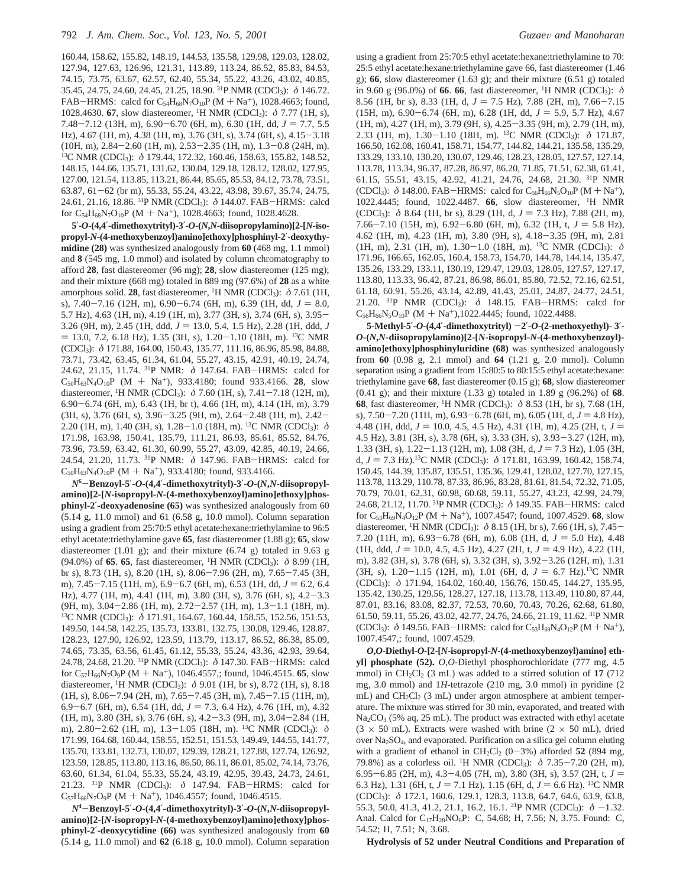160.44, 158.62, 155.82, 148.19, 144.53, 135.58, 129.98, 129.03, 128.02, 127.94, 127.63, 126.96, 121.31, 113.89, 113.24, 86.52, 85.83, 84.53, 74.15, 73.75, 63.67, 62.57, 62.40, 55.34, 55.22, 43.26, 43.02, 40.85, 35.45, 24.75, 24.60, 24.45, 21.25, 18.90. 31P NMR (CDCl3): *δ* 146.72. FAB-HRMS: calcd for  $C_{54}H_{68}N_7O_{10}P(M + Na^+)$ , 1028.4663; found, 1028.4630. **67**, slow diastereomer, <sup>1</sup>H NMR (CDCl<sub>3</sub>): δ 7.77 (1H, s),  $7.48 - 7.12$  (13H, m),  $6.90 - 6.70$  (6H, m),  $6.30$  (1H, dd,  $J = 7.7, 5.5$ Hz), 4.67 (1H, m), 4.38 (1H, m), 3.76 (3H, s), 3.74 (6H, s), 4.15-3.18 <sup>13</sup>C NMR (CDCl<sub>3</sub>): *δ* 179.44, 172.32, 160.46, 158.63, 155.82, 148.52, 148.15, 144.66, 135.71, 131.62, 130.04, 129.18, 128.12, 128.02, 127.95, 127.00, 121.54, 113.85, 113.21, 86.44, 85.65, 85.53, 84.12, 73.78, 73.51, 63.87, 61-62 (br m), 55.33, 55.24, 43.22, 43.98, 39.67, 35.74, 24.75, 24.61, 21.16, 18.86. 31P NMR (CDCl3): *<sup>δ</sup>* 144.07. FAB-HRMS: calcd for C<sub>54</sub>H<sub>68</sub>N<sub>7</sub>O<sub>10</sub>P (M + Na<sup>+</sup>), 1028.4663; found, 1028.4628.

**5**′**-***O***-(4,4**′**-dimethoxytrityl)-3**′**-***O***-(***N***,***N***-diisopropylamino)[2-[***N***-isopropyl-***N***-(4-methoxybenzoyl)amino]ethoxy]phosphinyl-2**′**-deoxythymidine (28)** was synthesized analogously from **60** (468 mg, 1.1 mmol) and **8** (545 mg, 1.0 mmol) and isolated by column chromatography to afford **28**, fast diastereomer (96 mg); **28**, slow diastereomer (125 mg); and their mixture (668 mg) totaled in 889 mg (97.6%) of **28** as a white amorphous solid. 28, fast diastereomer, <sup>1</sup>H NMR (CDCl<sub>3</sub>): δ 7.61 (1H, s),  $7.40 - 7.16$  (12H, m),  $6.90 - 6.74$  (6H, m),  $6.39$  (1H, dd,  $J = 8.0$ , 5.7 Hz), 4.63 (1H, m), 4.19 (1H, m), 3.77 (3H, s), 3.74 (6H, s), 3.95- 3.26 (9H, m), 2.45 (1H, ddd,  $J = 13.0, 5.4, 1.5$  Hz), 2.28 (1H, ddd, *J*  $=$  13.0, 7.2, 6.18 Hz), 1.35 (3H, s), 1.20–1.10 (18H, m). <sup>13</sup>C NMR (CDCl3): *δ* 171.88, 164.00, 150.43, 135.77, 111.16, 86.96, 85.98, 84.88, 73.71, 73.42, 63.45, 61.34, 61.04, 55.27, 43.15, 42.91, 40.19, 24.74, 24.62, 21.15, 11.74. 31P NMR: *<sup>δ</sup>* 147.64. FAB-HRMS: calcd for C50H63N4O10P (M + Na+), 933.4180; found 933.4166. **<sup>28</sup>**, slow diastereomer, <sup>1</sup>H NMR (CDCl<sub>3</sub>): δ 7.60 (1H, s), 7.41-7.18 (12H, m), 6.90-6.74 (6H, m), 6.43 (1H, br t), 4.66 (1H, m), 4.14 (1H, m), 3.79 (3H, s), 3.76 (6H, s), 3.96-3.25 (9H, m), 2.64-2.48 (1H, m), 2.42- 2.20 (1H, m), 1.40 (3H, s), 1.28-1.0 (18H, m). 13C NMR (CDCl3): *<sup>δ</sup>* 171.98, 163.98, 150.41, 135.79, 111.21, 86.93, 85.61, 85.52, 84.76, 73.96, 73.59, 63.42, 61.30, 60.99, 55.27, 43.09, 42.85, 40.19, 24.66, 24.54, 21.20, 11.73. 31P NMR: *<sup>δ</sup>* 147.96. FAB-HRMS: calcd for  $C_{50}H_{63}N_{4}O_{10}P$  (M + Na<sup>+</sup>), 933.4180; found, 933.4166.

*<sup>N</sup>***<sup>6</sup>**-**Benzoyl-5**′**-***O***-(4,4**′**-dimethoxytrityl)-3**′**-***O***-(***N***,***N***-diisopropylamino)[2-[***N***-isopropyl-***N***-(4-methoxybenzoyl)amino]ethoxy]phosphinyl-2**′**-deoxyadenosine (65)** was synthesized analogously from 60 (5.14 g, 11.0 mmol) and 61 (6.58 g, 10.0 mmol). Column separation using a gradient from 25:70:5 ethyl acetate:hexane:triethylamine to 96:5 ethyl acetate:triethylamine gave **65**, fast diastereomer (1.88 g); **65**, slow diastereomer (1.01 g); and their mixture (6.74 g) totaled in 9.63 g (94.0%) of **65**. **65**, fast diastereomer, 1H NMR (CDCl3): *δ* 8.99 (1H, br s), 8.73 (1H, s), 8.20 (1H, s), 8.06-7.96 (2H, m), 7.65-7.45 (3H, m), 7.45-7.15 (11H, m), 6.9-6.7 (6H, m), 6.53 (1H, dd,  $J = 6.2$ , 6.4 Hz), 4.77 (1H, m), 4.41 (1H, m), 3.80 (3H, s), 3.76 (6H, s), 4.2-3.3 <sup>13</sup>C NMR (CDCl<sub>3</sub>): *δ* 171.91, 164.67, 160.44, 158.55, 152.56, 151.53, 149.50, 144.58, 142.25, 135.73, 133.81, 132.75, 130.08, 129.46, 128.87, 128.23, 127.90, 126.92, 123.59, 113.79, 113.17, 86.52, 86.38, 85.09, 74.65, 73.35, 63.56, 61.45, 61.12, 55.33, 55.24, 43.36, 42.93, 39.64, 24.78, 24.68, 21.20. 31P NMR (CDCl3): *<sup>δ</sup>* 147.30. FAB-HRMS: calcd for  $C_{57}H_{66}N_7O_9P (M + Na^+), 1046.4557$ ; found, 1046.4515. 65, slow diastereomer, 1H NMR (CDCl3): *δ* 9.01 (1H, br s), 8.72 (1H, s), 8.18 (1H, s), 8.06-7.94 (2H, m), 7.65-7.45 (3H, m), 7.45-7.15 (11H, m), 6.9-6.7 (6H, m), 6.54 (1H, dd,  $J = 7.3$ , 6.4 Hz), 4.76 (1H, m), 4.32 (1H, m), 3.80 (3H, s), 3.76 (6H, s), 4.2-3.3 (9H, m), 3.04-2.84 (1H, m), 2.80-2.62 (1H, m), 1.3-1.05 (18H, m). 13C NMR (CDCl3): *<sup>δ</sup>* 171.99, 164.68, 160.44, 158.55, 152.51, 151.53, 149.49, 144.55, 141.77, 135.70, 133.81, 132.73, 130.07, 129.39, 128.21, 127.88, 127.74, 126.92, 123.59, 128.85, 113.80, 113.16, 86.50, 86.11, 86.01, 85.02, 74.14, 73.76, 63.60, 61.34, 61.04, 55.33, 55.24, 43.19, 42.95, 39.43, 24.73, 24.61, 21.23. 31P NMR (CDCl3): *<sup>δ</sup>* 147.94. FAB-HRMS: calcd for  $C_{57}H_{66}N_7O_9P (M + Na^+), 1046.4557$ ; found, 1046.4515.

*<sup>N</sup>***<sup>4</sup>**-**Benzoyl-5**′**-***O***-(4,4**′**-dimethoxytrityl)-3**′**-***O***-(***N***,***N***-diisopropylamino)[2-[***N***-isopropyl-***N***-(4-methoxybenzoyl)amino]ethoxy]phosphinyl-2**′**-deoxycytidine (66)** was synthesized analogously from **60** (5.14 g, 11.0 mmol) and **62** (6.18 g, 10.0 mmol). Column separation using a gradient from 25:70:5 ethyl acetate:hexane:triethylamine to 70: 25:5 ethyl acetate:hexane:triethylamine gave 66, fast diastereomer (1.46 g); **66**, slow diastereomer (1.63 g); and their mixture (6.51 g) totaled in 9.60 g (96.0%) of **66**. **66**, fast diastereomer, <sup>1</sup>H NMR (CDCl<sub>3</sub>): δ 8.56 (1H, br s), 8.33 (1H, d,  $J = 7.5$  Hz), 7.88 (2H, m), 7.66-7.15  $(15H, m)$ , 6.90-6.74 (6H, m), 6.28 (1H, dd,  $J = 5.9$ , 5.7 Hz), 4.67 (1H, m), 4.27 (1H, m), 3.79 (9H, s), 4.25-3.35 (9H, m), 2.79 (1H, m), 2.33 (1H, m), 1.30-1.10 (18H, m). 13C NMR (CDCl3): *<sup>δ</sup>* 171.87, 166.50, 162.08, 160.41, 158.71, 154.77, 144.82, 144.21, 135.58, 135.29, 133.29, 133.10, 130.20, 130.07, 129.46, 128.23, 128.05, 127.57, 127.14, 113.78, 113.34, 96.37, 87.28, 86.97, 86.20, 71.85, 71.51, 62.38, 61.41, 61.15, 55.51, 43.15, 42.92, 41.21, 24.76, 24.68, 21.30. 31P NMR (CDCl<sub>3</sub>):  $\delta$  148.00. FAB-HRMS: calcd for C<sub>56</sub>H<sub>66</sub>N<sub>5</sub>O<sub>10</sub>P (M + Na<sup>+</sup>), 1022.4445; found, 1022.4487. **66**, slow diastereomer, 1H NMR (CDCl<sub>3</sub>):  $\delta$  8.64 (1H, br s), 8.29 (1H, d,  $J = 7.3$  Hz), 7.88 (2H, m), 7.66-7.10 (15H, m),  $6.92 - 6.80$  (6H, m),  $6.32$  (1H, t,  $J = 5.8$  Hz), 4.62 (1H, m), 4.23 (1H, m), 3.80 (9H, s), 4.18-3.35 (9H, m), 2.81 (1H, m), 2.31 (1H, m), 1.30-1.0 (18H, m). 13C NMR (CDCl3): *<sup>δ</sup>* 171.96, 166.65, 162.05, 160.4, 158.73, 154.70, 144.78, 144.14, 135.47, 135.26, 133.29, 133.11, 130.19, 129.47, 129.03, 128.05, 127.57, 127.17, 113.80, 113.33, 96.42, 87.21, 86.98, 86.01, 85.80, 72.52, 72.16, 62.51, 61.18, 60.91, 55.26, 43.14, 42.89, 41.43, 25.01, 24.87, 24.77, 24.51, 21.20. 31P NMR (CDCl3): *<sup>δ</sup>* 148.15. FAB-HRMS: calcd for  $C_{56}H_{66}N_5O_{10}P (M + Na^+), 1022.4445$ ; found, 1022.4488.

**5-Methyl-5**′**-***O***-(4,4**′**-dimethoxytrityl)** -**2**′**-***O***-(2-methoxyethyl)- 3**′**-** *O***-(***N***,***N***-diisopropylamino)[2-[***N***-isopropyl-***N***-(4-methoxybenzoyl) amino]ethoxy]phosphinyluridine (68)** was synthesized analogously from **60** (0.98 g, 2.1 mmol) and **64** (1.21 g, 2.0 mmol). Column separation using a gradient from 15:80:5 to 80:15:5 ethyl acetate:hexane: triethylamine gave **68**, fast diastereomer (0.15 g); **68**, slow diastereomer (0.41 g); and their mixture (1.33 g) totaled in 1.89 g (96.2%) of **68**. **68**, fast diastereomer, 1H NMR (CDCl3): *δ* 8.53 (1H, br s), 7.68 (1H, s),  $7.50 - 7.20$  (11H, m),  $6.93 - 6.78$  (6H, m),  $6.05$  (1H, d,  $J = 4.8$  Hz), 4.48 (1H, ddd,  $J = 10.0$ , 4.5, 4.5 Hz), 4.31 (1H, m), 4.25 (2H, t,  $J =$ 4.5 Hz), 3.81 (3H, s), 3.78 (6H, s), 3.33 (3H, s), 3.93-3.27 (12H, m), 1.33 (3H, s),  $1.22 - 1.13$  (12H, m), 1.08 (3H, d,  $J = 7.3$  Hz), 1.05 (3H, d, *J* = 7.3 Hz).<sup>13</sup>C NMR (CDCl<sub>3</sub>): δ 171.81, 163.99, 160.42, 158.74, 150.45, 144.39, 135.87, 135.51, 135.36, 129.41, 128.02, 127.70, 127.15, 113.78, 113.29, 110.78, 87.33, 86.96, 83.28, 81.61, 81.54, 72.32, 71.05, 70.79, 70.01, 62.31, 60.98, 60.68, 59.11, 55.27, 43.23, 42.99, 24.79, 24.68, 21.12, 11.70. 31P NMR (CDCl3): *<sup>δ</sup>* 149.35. FAB-HRMS: calcd for C53H69N4O12P (M + Na+), 1007.4547; found, 1007.4529. **<sup>68</sup>**, slow diastereomer, <sup>1</sup>H NMR (CDCl<sub>3</sub>):  $\delta$  8.15 (1H, br s), 7.66 (1H, s), 7.45–<br>7.20 (11H, m), 6.93–6.78 (6H, m), 6.08 (1H, d,  $I = 5.0$  Hz), 4.48 7.20 (11H, m),  $6.93-6.78$  (6H, m),  $6.08$  (1H, d,  $J = 5.0$  Hz), 4.48  $(1H, ddd, J = 10.0, 4.5, 4.5 Hz), 4.27 (2H, t, J = 4.9 Hz), 4.22 (1H,$ m), 3.82 (3H, s), 3.78 (6H, s), 3.32 (3H, s), 3.92-3.26 (12H, m), 1.31  $(3H, s)$ , 1.20-1.15 (12H, m), 1.01 (6H, d,  $J = 6.7$  Hz).<sup>13</sup>C NMR (CDCl3): *δ* 171.94, 164.02, 160.40, 156.76, 150.45, 144.27, 135.95, 135.42, 130.25, 129.56, 128.27, 127.18, 113.78, 113.49, 110.80, 87.44, 87.01, 83.16, 83.08, 82.37, 72.53, 70.60, 70.43, 70.26, 62.68, 61.80, 61.50, 59.11, 55.26, 43.02, 42.77, 24.76, 24.66, 21.19, 11.62. 31P NMR (CDCl<sub>3</sub>):  $\delta$  149.56. FAB-HRMS: calcd for C<sub>53</sub>H<sub>69</sub>N<sub>4</sub>O<sub>12</sub>P (M + Na<sup>+</sup>), 1007.4547,; found, 1007.4529.

*O***,***O***-Diethyl-***O***-[2-[***N***-isopropyl-***N***-(4-methoxybenzoyl)amino] ethyl] phosphate (52).** *O*,*O*-Diethyl phosphorochloridate (777 mg, 4.5 mmol) in  $CH_2Cl_2$  (3 mL) was added to a stirred solution of 17 (712) mg, 3.0 mmol) and 1*H*-tetrazole (210 mg, 3.0 mmol) in pyridine (2 mL) and CH<sub>2</sub>Cl<sub>2</sub> (3 mL) under argon atmosphere at ambient temperature. The mixture was stirred for 30 min, evaporated, and treated with Na<sub>2</sub>CO<sub>3</sub> (5% aq, 25 mL). The product was extracted with ethyl acetate  $(3 \times 50 \text{ mL})$ . Extracts were washed with brine  $(2 \times 50 \text{ mL})$ , dried over Na2SO4, and evaporated. Purification on a silica gel column eluting with a gradient of ethanol in  $CH_2Cl_2$  (0-3%) afforded **52** (894 mg, 79.8%) as a colorless oil. <sup>1</sup>H NMR (CDCl<sub>3</sub>):  $\delta$  7.35–7.20 (2H, m), 6.95–6.85 (2H, m), 4.3–4.05 (7H, m), 3.80 (3H, s), 3.57 (2H, t, I 6.95-6.85 (2H, m),  $4.3-4.05$  (7H, m),  $3.80$  (3H, s),  $3.57$  (2H, t,  $J =$ 6.3 Hz), 1.31 (6H, t,  $J = 7.1$  Hz), 1.15 (6H, d,  $J = 6.6$  Hz). <sup>13</sup>C NMR (CDCl3): *δ* 172.1, 160.6, 129.1, 128.3, 113.8, 64.7, 64.6, 63.9, 63.8, 55.3, 50.0, 41.3, 41.2, 21.1, 16.2, 16.1. 31P NMR (CDCl3): *<sup>δ</sup>* -1.32. Anal. Calcd for C<sub>17</sub>H<sub>28</sub>NO<sub>6</sub>P: C, 54.68; H, 7.56; N, 3.75. Found: C, 54.52; H, 7.51; N, 3.68.

**Hydrolysis of 52 under Neutral Conditions and Preparation of**